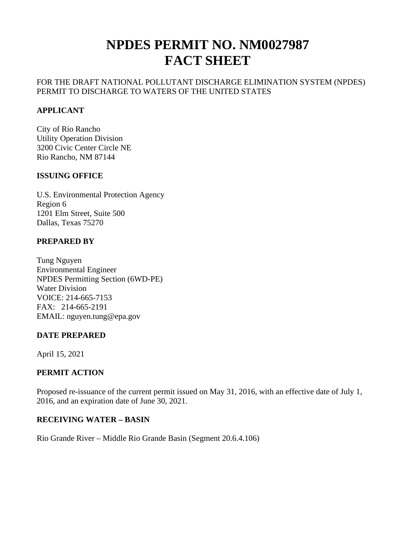# **NPDES PERMIT NO. NM0027987 FACT SHEET**

# FOR THE DRAFT NATIONAL POLLUTANT DISCHARGE ELIMINATION SYSTEM (NPDES) PERMIT TO DISCHARGE TO WATERS OF THE UNITED STATES

# **APPLICANT**

City of Rio Rancho Utility Operation Division 3200 Civic Center Circle NE Rio Rancho, NM 87144

#### **ISSUING OFFICE**

U.S. Environmental Protection Agency Region 6 1201 Elm Street, Suite 500 Dallas, Texas 75270

# **PREPARED BY**

Tung Nguyen Environmental Engineer NPDES Permitting Section (6WD-PE) Water Division VOICE: 214-665-7153 FAX: 214-665-2191 EMAIL: nguyen.tung@epa.gov

# **DATE PREPARED**

April 15, 2021

# **PERMIT ACTION**

Proposed re-issuance of the current permit issued on May 31, 2016, with an effective date of July 1, 2016, and an expiration date of June 30, 2021.

# **RECEIVING WATER – BASIN**

Rio Grande River – Middle Rio Grande Basin (Segment 20.6.4.106)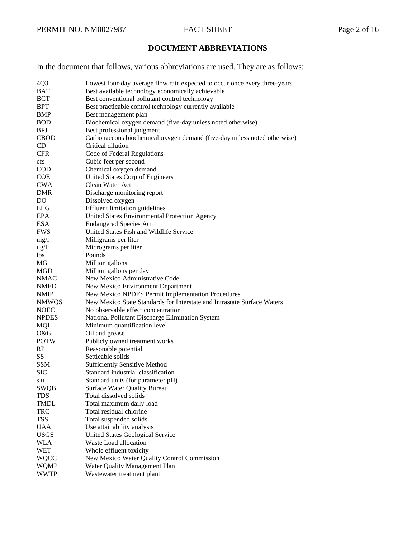# **DOCUMENT ABBREVIATIONS**

In the document that follows, various abbreviations are used. They are as follows:

| 4Q3             | Lowest four-day average flow rate expected to occur once every three-years |
|-----------------|----------------------------------------------------------------------------|
| <b>BAT</b>      | Best available technology economically achievable                          |
| <b>BCT</b>      | Best conventional pollutant control technology                             |
| BPT             | Best practicable control technology currently available                    |
| BMP             | Best management plan                                                       |
| <b>BOD</b>      | Biochemical oxygen demand (five-day unless noted otherwise)                |
| <b>BPJ</b>      | Best professional judgment                                                 |
| <b>CBOD</b>     | Carbonaceous biochemical oxygen demand (five-day unless noted otherwise)   |
| <b>CD</b>       | Critical dilution                                                          |
|                 |                                                                            |
| <b>CFR</b>      | Code of Federal Regulations                                                |
| cfs             | Cubic feet per second                                                      |
| <b>COD</b>      | Chemical oxygen demand                                                     |
| <b>COE</b>      | United States Corp of Engineers                                            |
| <b>CWA</b>      | Clean Water Act                                                            |
| DMR             | Discharge monitoring report                                                |
| DO              | Dissolved oxygen                                                           |
| ELG             | <b>Effluent limitation guidelines</b>                                      |
| EPA             | United States Environmental Protection Agency                              |
| <b>ESA</b>      | <b>Endangered Species Act</b>                                              |
| <b>FWS</b>      | United States Fish and Wildlife Service                                    |
| mg/1            | Milligrams per liter                                                       |
| $\frac{u g}{l}$ | Micrograms per liter                                                       |
| lbs             | Pounds                                                                     |
| MG              | Million gallons                                                            |
| MGD             | Million gallons per day                                                    |
| NMAC            | New Mexico Administrative Code                                             |
| <b>NMED</b>     | New Mexico Environment Department                                          |
| <b>NMIP</b>     | New Mexico NPDES Permit Implementation Procedures                          |
| <b>NMWQS</b>    | New Mexico State Standards for Interstate and Intrastate Surface Waters    |
| <b>NOEC</b>     | No observable effect concentration                                         |
| <b>NPDES</b>    | National Pollutant Discharge Elimination System                            |
| <b>MQL</b>      | Minimum quantification level                                               |
| O&G             | Oil and grease                                                             |
| <b>POTW</b>     | Publicly owned treatment works                                             |
| RP              | Reasonable potential                                                       |
| SS              | Settleable solids                                                          |
| <b>SSM</b>      | <b>Sufficiently Sensitive Method</b>                                       |
| <b>SIC</b>      | Standard industrial classification                                         |
|                 |                                                                            |
| s.u.            | Standard units (for parameter pH)                                          |
| <b>SWQB</b>     | Surface Water Quality Bureau                                               |
| <b>TDS</b>      | Total dissolved solids                                                     |
| TMDL            | Total maximum daily load                                                   |
| <b>TRC</b>      | Total residual chlorine                                                    |
| <b>TSS</b>      | Total suspended solids                                                     |
| <b>UAA</b>      | Use attainability analysis                                                 |
| <b>USGS</b>     | United States Geological Service                                           |
| <b>WLA</b>      | Waste Load allocation                                                      |
| WET             | Whole effluent toxicity                                                    |
| WQCC            | New Mexico Water Quality Control Commission                                |
| <b>WQMP</b>     | Water Quality Management Plan                                              |
| <b>WWTP</b>     | Wastewater treatment plant                                                 |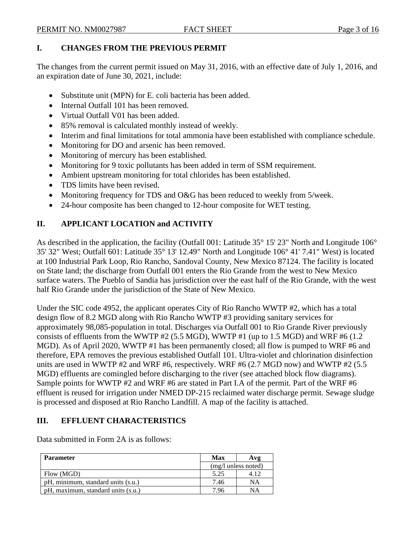# **I. CHANGES FROM THE PREVIOUS PERMIT**

The changes from the current permit issued on May 31, 2016, with an effective date of July 1, 2016, and an expiration date of June 30, 2021, include:

- Substitute unit (MPN) for E. coli bacteria has been added.
- Internal Outfall 101 has been removed.
- Virtual Outfall V01 has been added.
- 85% removal is calculated monthly instead of weekly.
- Interim and final limitations for total ammonia have been established with compliance schedule.
- Monitoring for DO and arsenic has been removed.
- Monitoring of mercury has been established.
- Monitoring for 9 toxic pollutants has been added in term of SSM requirement.
- Ambient upstream monitoring for total chlorides has been established.
- TDS limits have been revised.
- Monitoring frequency for TDS and O&G has been reduced to weekly from 5/week.
- 24-hour composite has been changed to 12-hour composite for WET testing.

# **II. APPLICANT LOCATION and ACTIVITY**

As described in the application, the facility (Outfall 001: Latitude 35° 15' 23" North and Longitude 106° 35' 32" West; Outfall 601: Latitude 35° 13' 12.49" North and Longitude 106° 41' 7.41" West) is located at 100 Industrial Park Loop, Rio Rancho, Sandoval County, New Mexico 87124. The facility is located on State land; the discharge from Outfall 001 enters the Rio Grande from the west to New Mexico surface waters. The Pueblo of Sandia has jurisdiction over the east half of the Rio Grande, with the west half Rio Grande under the jurisdiction of the State of New Mexico.

Under the SIC code 4952, the applicant operates City of Rio Rancho WWTP #2, which has a total design flow of 8.2 MGD along with Rio Rancho WWTP #3 providing sanitary services for approximately 98,085-population in total. Discharges via Outfall 001 to Rio Grande River previously consists of effluents from the WWTP #2 (5.5 MGD), WWTP #1 (up to 1.5 MGD) and WRF #6 (1.2 MGD). As of April 2020, WWTP #1 has been permanently closed; all flow is pumped to WRF #6 and therefore, EPA removes the previous established Outfall 101. Ultra-violet and chlorination disinfection units are used in WWTP #2 and WRF #6, respectively. WRF #6 (2.7 MGD now) and WWTP #2 (5.5 MGD) effluents are comingled before discharging to the river (see attached block flow diagrams). Sample points for WWTP #2 and WRF #6 are stated in Part I.A of the permit. Part of the WRF #6 effluent is reused for irrigation under NMED DP-215 reclaimed water discharge permit. Sewage sludge is processed and disposed at Rio Rancho Landfill. A map of the facility is attached.

# **III. EFFLUENT CHARACTERISTICS**

Data submitted in Form 2A is as follows:

| <b>Parameter</b>                   | Max  | Avg                   |
|------------------------------------|------|-----------------------|
|                                    |      | $(mg/l$ unless noted) |
| Flow (MGD)                         | 5.25 | 4.12                  |
| pH, minimum, standard units (s.u.) | 7.46 | NA                    |
| pH, maximum, standard units (s.u.) | 7.96 | NΑ                    |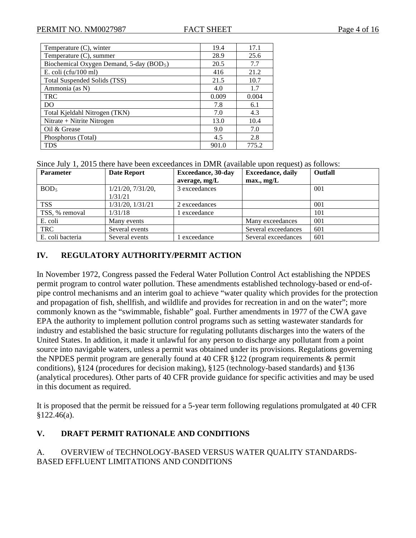| Temperature (C), winter                              | 19.4  | 17.1  |
|------------------------------------------------------|-------|-------|
| Temperature $(C)$ , summer                           | 28.9  | 25.6  |
| Biochemical Oxygen Demand, 5-day (BOD <sub>5</sub> ) | 20.5  | 7.7   |
| E. coli ( $cfu/100$ ml)                              | 416   | 21.2  |
| Total Suspended Solids (TSS)                         | 21.5  | 10.7  |
| Ammonia (as N)                                       | 4.0   | 1.7   |
| <b>TRC</b>                                           | 0.009 | 0.004 |
| DO                                                   | 7.8   | 6.1   |
| Total Kjeldahl Nitrogen (TKN)                        | 7.0   | 4.3   |
| Nitrate + Nitrite Nitrogen                           | 13.0  | 10.4  |
| Oil & Grease                                         | 9.0   | 7.0   |
| Phosphorus (Total)                                   | 4.5   | 2.8   |
| <b>TDS</b>                                           | 901.0 | 775.2 |

Since July 1, 2015 there have been exceedances in DMR (available upon request) as follows:

| <b>Parameter</b> | <b>Date Report</b>                 | <b>Exceedance</b> , 30-day<br>average, mg/L | <b>Exceedance</b> , daily<br>max., mg/L | Outfall |
|------------------|------------------------------------|---------------------------------------------|-----------------------------------------|---------|
| BOD <sub>5</sub> | $1/21/20$ , $7/31/20$ ,<br>1/31/21 | 3 exceedances                               |                                         | 001     |
| <b>TSS</b>       | 1/31/20, 1/31/21                   | 2 exceedances                               |                                         | 001     |
| TSS, % removal   | 1/31/18                            | exceedance                                  |                                         | 101     |
| E. coli          | Many events                        |                                             | Many exceedances                        | 001     |
| <b>TRC</b>       | Several events                     |                                             | Several exceedances                     | 601     |
| E. coli bacteria | Several events                     | exceedance                                  | Several exceedances                     | 601     |

# **IV. REGULATORY AUTHORITY/PERMIT ACTION**

In November 1972, Congress passed the Federal Water Pollution Control Act establishing the NPDES permit program to control water pollution. These amendments established technology-based or end-ofpipe control mechanisms and an interim goal to achieve "water quality which provides for the protection and propagation of fish, shellfish, and wildlife and provides for recreation in and on the water"; more commonly known as the "swimmable, fishable" goal. Further amendments in 1977 of the CWA gave EPA the authority to implement pollution control programs such as setting wastewater standards for industry and established the basic structure for regulating pollutants discharges into the waters of the United States. In addition, it made it unlawful for any person to discharge any pollutant from a point source into navigable waters, unless a permit was obtained under its provisions. Regulations governing the NPDES permit program are generally found at 40 CFR §122 (program requirements & permit conditions), §124 (procedures for decision making), §125 (technology-based standards) and §136 (analytical procedures). Other parts of 40 CFR provide guidance for specific activities and may be used in this document as required.

It is proposed that the permit be reissued for a 5-year term following regulations promulgated at 40 CFR §122.46(a).

# **V. DRAFT PERMIT RATIONALE AND CONDITIONS**

# A. OVERVIEW of TECHNOLOGY-BASED VERSUS WATER QUALITY STANDARDS-BASED EFFLUENT LIMITATIONS AND CONDITIONS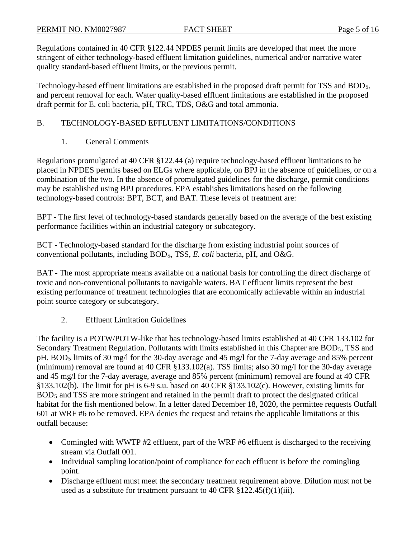Regulations contained in 40 CFR §122.44 NPDES permit limits are developed that meet the more stringent of either technology-based effluent limitation guidelines, numerical and/or narrative water quality standard-based effluent limits, or the previous permit.

Technology-based effluent limitations are established in the proposed draft permit for TSS and BOD<sub>5</sub>, and percent removal for each. Water quality-based effluent limitations are established in the proposed draft permit for E. coli bacteria, pH, TRC, TDS, O&G and total ammonia.

# B. TECHNOLOGY-BASED EFFLUENT LIMITATIONS/CONDITIONS

1. General Comments

Regulations promulgated at 40 CFR §122.44 (a) require technology-based effluent limitations to be placed in NPDES permits based on ELGs where applicable, on BPJ in the absence of guidelines, or on a combination of the two. In the absence of promulgated guidelines for the discharge, permit conditions may be established using BPJ procedures. EPA establishes limitations based on the following technology-based controls: BPT, BCT, and BAT. These levels of treatment are:

BPT - The first level of technology-based standards generally based on the average of the best existing performance facilities within an industrial category or subcategory.

BCT - Technology-based standard for the discharge from existing industrial point sources of conventional pollutants, including BOD<sub>5</sub>, TSS, *E. coli* bacteria, pH, and O&G.

BAT - The most appropriate means available on a national basis for controlling the direct discharge of toxic and non-conventional pollutants to navigable waters. BAT effluent limits represent the best existing performance of treatment technologies that are economically achievable within an industrial point source category or subcategory.

2. Effluent Limitation Guidelines

The facility is a POTW/POTW-like that has technology-based limits established at 40 CFR 133.102 for Secondary Treatment Regulation. Pollutants with limits established in this Chapter are BOD<sub>5</sub>, TSS and pH. BOD<sub>5</sub> limits of 30 mg/l for the 30-day average and 45 mg/l for the 7-day average and 85% percent (minimum) removal are found at 40 CFR §133.102(a). TSS limits; also 30 mg/l for the 30-day average and 45 mg/l for the 7-day average, average and 85% percent (minimum) removal are found at 40 CFR §133.102(b). The limit for pH is 6-9 s.u. based on 40 CFR §133.102(c). However, existing limits for BOD<sub>5</sub> and TSS are more stringent and retained in the permit draft to protect the designated critical habitat for the fish mentioned below. In a letter dated December 18, 2020, the permittee requests Outfall 601 at WRF #6 to be removed. EPA denies the request and retains the applicable limitations at this outfall because:

- Comingled with WWTP #2 effluent, part of the WRF #6 effluent is discharged to the receiving stream via Outfall 001.
- Individual sampling location/point of compliance for each effluent is before the comingling point.
- Discharge effluent must meet the secondary treatment requirement above. Dilution must not be used as a substitute for treatment pursuant to 40 CFR  $\S 122.45(f)(1)(iii)$ .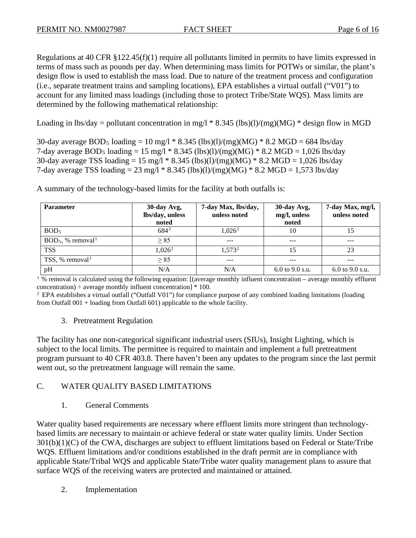Regulations at 40 CFR §122.45(f)(1) require all pollutants limited in permits to have limits expressed in terms of mass such as pounds per day. When determining mass limits for POTWs or similar, the plant's design flow is used to establish the mass load. Due to nature of the treatment process and configuration (i.e., separate treatment trains and sampling locations), EPA establishes a virtual outfall ("V01") to account for any limited mass loadings (including those to protect Tribe/State WQS). Mass limits are determined by the following mathematical relationship:

Loading in lbs/day = pollutant concentration in mg/l  $*$  8.345 (lbs)(l)/(mg)(MG)  $*$  design flow in MGD

30-day average BOD<sub>5</sub> loading = 10 mg/l \* 8.345 (lbs)(l)/(mg)(MG) \* 8.2 MGD = 684 lbs/day 7-day average BOD<sub>5</sub> loading = 15 mg/l \* 8.345 (lbs)(l)/(mg)(MG) \* 8.2 MGD = 1,026 lbs/day 30-day average TSS loading =  $15 \text{ mg}/l * 8.345 \text{ (lbs)}(l)/(mg)(MG) * 8.2 \text{ MGD} = 1,026 \text{ lbs/day}$ 7-day average TSS loading = 23 mg/l  $*$  8.345 (lbs)(l)/(mg)(MG)  $*$  8.2 MGD = 1,573 lbs/day

**Parameter 30-day Avg, lbs/day, unless noted 7-day Max, lbs/day, unless noted 30-day Avg, mg/l, unless noted 7-day Max, mg/l, unless noted**  $BOD<sub>5</sub>$  $5 \hspace{1.5cm} 684$  $684^2$  1,026<sup>2</sup> 2 10 15  $BOD<sub>5</sub>$ , % removal<sup>1</sup>  $\ge 85$  --- --- --- --- --- --- --- --- --- $TSS$  1,026<sup>2</sup> 1,573<sup>2</sup> 2 15 23 TSS, % removal<sup>1</sup> 1  $\geq 85$  ---  $\sim$  ---  $\sim$  --pH N/A N/A N/A 6.0 to 9.0 s.u. 6.0 to 9.0 s.u.

A summary of the technology-based limits for the facility at both outfalls is:

1 <sup>P</sup> % removal is calculated using the following equation: [(average monthly influent concentration – average monthly effluent concentration)  $\div$  average monthly influent concentration]  $*$  100.

 $<sup>2</sup>$  EPA establishes a virtual outfall ("Outfall V01") for compliance purpose of any combined loading limitations (loading</sup> from Outfall 001 + loading from Outfall 601) applicable to the whole facility.

# 3. Pretreatment Regulation

The facility has one non-categorical significant industrial users (SIUs), Insight Lighting, which is subject to the local limits. The permittee is required to maintain and implement a full pretreatment program pursuant to 40 CFR 403.8. There haven't been any updates to the program since the last permit went out, so the pretreatment language will remain the same.

# C. WATER QUALITY BASED LIMITATIONS

1. General Comments

Water quality based requirements are necessary where effluent limits more stringent than technologybased limits are necessary to maintain or achieve federal or state water quality limits. Under Section 301(b)(1)(C) of the CWA, discharges are subject to effluent limitations based on Federal or State/Tribe WQS. Effluent limitations and/or conditions established in the draft permit are in compliance with applicable State/Tribal WQS and applicable State/Tribe water quality management plans to assure that surface WQS of the receiving waters are protected and maintained or attained.

2. Implementation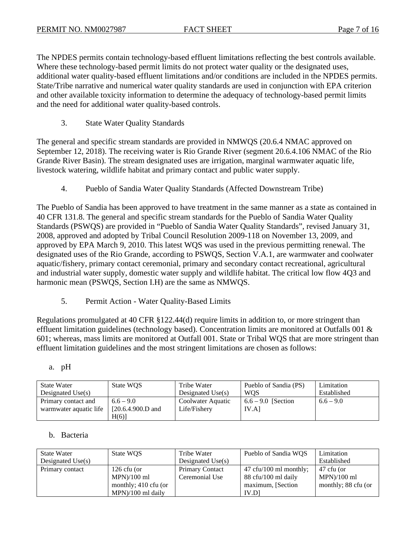The NPDES permits contain technology-based effluent limitations reflecting the best controls available. Where these technology-based permit limits do not protect water quality or the designated uses, additional water quality-based effluent limitations and/or conditions are included in the NPDES permits. State/Tribe narrative and numerical water quality standards are used in conjunction with EPA criterion and other available toxicity information to determine the adequacy of technology-based permit limits and the need for additional water quality-based controls.

3. State Water Quality Standards

The general and specific stream standards are provided in NMWQS (20.6.4 NMAC approved on September 12, 2018). The receiving water is Rio Grande River (segment 20.6.4.106 NMAC of the Rio Grande River Basin). The stream designated uses are irrigation, marginal warmwater aquatic life, livestock watering, wildlife habitat and primary contact and public water supply.

4. Pueblo of Sandia Water Quality Standards (Affected Downstream Tribe)

The Pueblo of Sandia has been approved to have treatment in the same manner as a state as contained in 40 CFR 131.8. The general and specific stream standards for the Pueblo of Sandia Water Quality Standards (PSWQS) are provided in "Pueblo of Sandia Water Quality Standards", revised January 31, 2008, approved and adopted by Tribal Council Resolution 2009-118 on November 13, 2009, and approved by EPA March 9, 2010. This latest WQS was used in the previous permitting renewal. The designated uses of the Rio Grande, according to PSWQS, Section V.A.1, are warmwater and coolwater aquatic/fishery, primary contact ceremonial, primary and secondary contact recreational, agricultural and industrial water supply, domestic water supply and wildlife habitat. The critical low flow 4Q3 and harmonic mean (PSWQS, Section I.H) are the same as NMWQS.

5. Permit Action - Water Quality-Based Limits

Regulations promulgated at 40 CFR §122.44(d) require limits in addition to, or more stringent than effluent limitation guidelines (technology based). Concentration limits are monitored at Outfalls 001 & 601; whereas, mass limits are monitored at Outfall 001. State or Tribal WQS that are more stringent than effluent limitation guidelines and the most stringent limitations are chosen as follows:

| í<br>$\sim$<br>I |  |
|------------------|--|
|                  |  |

| <b>State Water</b><br>Designated Use $(s)$ | State WQS           | Tribe Water<br>Designated $Use(s)$ | Pueblo of Sandia (PS)<br><b>WOS</b> | Limitation<br>Established |
|--------------------------------------------|---------------------|------------------------------------|-------------------------------------|---------------------------|
| Primary contact and                        | $6.6 - 9.0$         | Coolwater Aquatic                  | $6.6 - 9.0$ [Section]               | $6.6 - 9.0$               |
| warmwater aquatic life                     | $[20.6.4.900.D$ and | Life/Fishery                       | IV.A                                |                           |
|                                            | H(6)                |                                    |                                     |                           |

#### b. Bacteria

| <b>State Water</b>  | State WQS            | Tribe Water            | Pueblo of Sandia WOS                      | Limitation          |
|---------------------|----------------------|------------------------|-------------------------------------------|---------------------|
| Designated $Use(s)$ |                      | Designated $Use(s)$    |                                           | Established         |
| Primary contact     | $126$ cfu (or        | <b>Primary Contact</b> | $47 \text{ cft}/100 \text{ ml monthly}$ ; | 47 cfu (or          |
|                     | $MPN)/100$ ml        | Ceremonial Use         | 88 cfu/100 ml daily                       | $MPN)/100$ ml       |
|                     | monthly; 410 cfu (or |                        | maximum, [Section]                        | monthly; 88 cfu (or |
|                     | $MPN$ /100 ml daily  |                        | IV.D                                      |                     |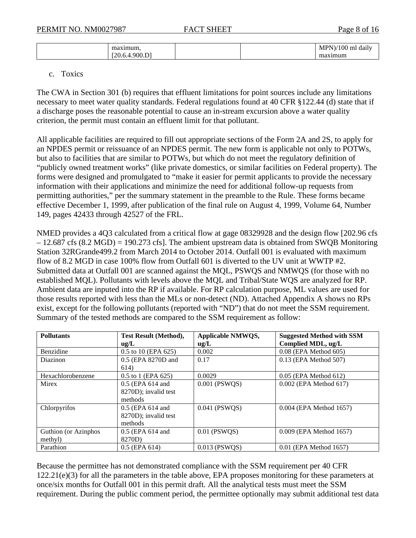| 33.99%<br>на<br>، σ<br><b>D</b> |  | 100<br>MP'<br>m.<br>daily |
|---------------------------------|--|---------------------------|
| $\sim$                          |  | ma<br>$\cdots$<br>ш       |

#### c. Toxics

The CWA in Section 301 (b) requires that effluent limitations for point sources include any limitations necessary to meet water quality standards. Federal regulations found at 40 CFR §122.44 (d) state that if a discharge poses the reasonable potential to cause an in-stream excursion above a water quality criterion, the permit must contain an effluent limit for that pollutant.

All applicable facilities are required to fill out appropriate sections of the Form 2A and 2S, to apply for an NPDES permit or reissuance of an NPDES permit. The new form is applicable not only to POTWs, but also to facilities that are similar to POTWs, but which do not meet the regulatory definition of "publicly owned treatment works" (like private domestics, or similar facilities on Federal property). The forms were designed and promulgated to "make it easier for permit applicants to provide the necessary information with their applications and minimize the need for additional follow-up requests from permitting authorities," per the summary statement in the preamble to the Rule. These forms became effective December 1, 1999, after publication of the final rule on August 4, 1999, Volume 64, Number 149, pages 42433 through 42527 of the FRL.

NMED provides a 4Q3 calculated from a critical flow at gage 08329928 and the design flow [202.96 cfs – 12.687 cfs (8.2 MGD) = 190.273 cfs]. The ambient upstream data is obtained from SWQB Monitoring Station 32RGrande499.2 from March 2014 to October 2014. Outfall 001 is evaluated with maximum flow of 8.2 MGD in case 100% flow from Outfall 601 is diverted to the UV unit at WWTP #2. Submitted data at Outfall 001 are scanned against the MQL, PSWQS and NMWQS (for those with no established MQL). Pollutants with levels above the MQL and Tribal/State WQS are analyzed for RP. Ambient data are inputed into the RP if available. For RP calculation purpose, ML values are used for those results reported with less than the MLs or non-detect (ND). Attached Appendix A shows no RPs exist, except for the following pollutants (reported with "ND") that do not meet the SSM requirement. Summary of the tested methods are compared to the SSM requirement as follow:

| <b>Pollutants</b>    | <b>Test Result (Method),</b><br>$u\Omega/L$ | Applicable NMWQS,<br>ug/L | <b>Suggested Method with SSM</b><br>Complied MDL, ug/L |
|----------------------|---------------------------------------------|---------------------------|--------------------------------------------------------|
| Benzidine            | $0.5$ to 10 (EPA 625)                       | 0.002                     | 0.08 (EPA Method 605)                                  |
| <b>Diazinon</b>      | 0.5 (EPA 8270D and                          | 0.17                      | 0.13 (EPA Method 507)                                  |
|                      | 614)                                        |                           |                                                        |
| Hexachlorobenzene    | $0.5$ to 1 (EPA 625)                        | 0.0029                    | $0.05$ (EPA Method 612)                                |
| Mirex                | $0.5$ (EPA 614 and                          | 0.001 (PSWQS)             | 0.002 (EPA Method 617)                                 |
|                      | 8270D); invalid test                        |                           |                                                        |
|                      | methods                                     |                           |                                                        |
| Chlorpyrifos         | $0.5$ (EPA 614 and                          | $0.041$ (PSWQS)           | 0.004 (EPA Method 1657)                                |
|                      | 8270D); invalid test                        |                           |                                                        |
|                      | methods                                     |                           |                                                        |
| Guthion (or Azinphos | $0.5$ (EPA 614 and                          | $0.01$ (PSWQS)            | 0.009 (EPA Method 1657)                                |
| methyl)              | 8270D)                                      |                           |                                                        |
| Parathion            | $0.5$ (EPA $614$ )                          | $0.013$ (PSWOS)           | 0.01 (EPA Method 1657)                                 |

Because the permittee has not demonstrated compliance with the SSM requirement per 40 CFR 122.21(e)(3) for all the parameters in the table above, EPA proposes monitoring for these parameters at once/six months for Outfall 001 in this permit draft. All the analytical tests must meet the SSM requirement. During the public comment period, the permittee optionally may submit additional test data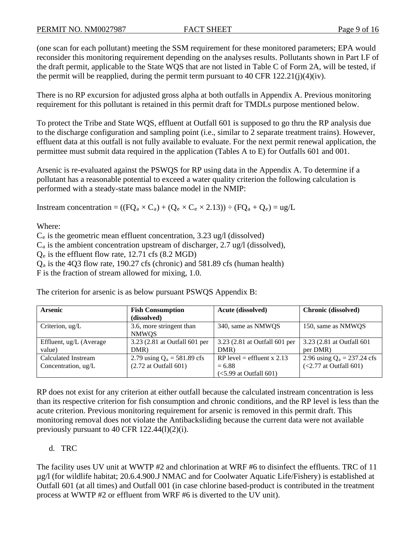(one scan for each pollutant) meeting the SSM requirement for these monitored parameters; EPA would reconsider this monitoring requirement depending on the analyses results. Pollutants shown in Part I.F of the draft permit, applicable to the State WQS that are not listed in Table C of Form 2A, will be tested, if the permit will be reapplied, during the permit term pursuant to 40 CFR  $122.21(i)(4)(iv)$ .

There is no RP excursion for adjusted gross alpha at both outfalls in Appendix A. Previous monitoring requirement for this pollutant is retained in this permit draft for TMDLs purpose mentioned below.

To protect the Tribe and State WQS, effluent at Outfall 601 is supposed to go thru the RP analysis due to the discharge configuration and sampling point (i.e., similar to 2 separate treatment trains). However, effluent data at this outfall is not fully available to evaluate. For the next permit renewal application, the permittee must submit data required in the application (Tables A to E) for Outfalls 601 and 001.

Arsenic is re-evaluated against the PSWQS for RP using data in the Appendix A. To determine if a pollutant has a reasonable potential to exceed a water quality criterion the following calculation is performed with a steady-state mass balance model in the NMIP:

Instream concentration =  $((FQ_a \times C_a) + (Q_e \times C_e \times 2.13)) \div (FQ_a + Q_e) = ug/L$ 

Where:

 $C_e$  is the geometric mean effluent concentration, 3.23 ug/l (dissolved)

 $C_a$  is the ambient concentration upstream of discharger, 2.7 ug/l (dissolved),

 $Q_e$  is the effluent flow rate, 12.71 cfs (8.2 MGD)

 $Q<sub>a</sub>$  is the 4Q3 flow rate, 190.27 cfs (chronic) and 581.89 cfs (human health)

F is the fraction of stream allowed for mixing, 1.0.

The criterion for arsenic is as below pursuant PSWQS Appendix B:

| <b>Arsenic</b>          | <b>Fish Consumption</b>       | <b>Acute (dissolved)</b>      | <b>Chronic (dissolved)</b>    |
|-------------------------|-------------------------------|-------------------------------|-------------------------------|
|                         | (dissolved)                   |                               |                               |
| Criterion, $\mu$ g/L    | 3.6, more stringent than      | 340, same as NMWQS            | 150, same as NMWQS            |
|                         | <b>NMWOS</b>                  |                               |                               |
| Effluent, ug/L (Average | 3.23 (2.81 at Outfall 601 per | 3.23 (2.81 at Outfall 601 per | 3.23 (2.81 at Outfall 601)    |
| value)                  | DMR)                          | DMR)                          | per DMR)                      |
| Calculated Instream     | 2.79 using $Q_a = 581.89$ cfs | RP level = effluent x 2.13    | 2.96 using $Q_a = 237.24$ cfs |
| Concentration, ug/L     | $(2.72$ at Outfall 601)       | $= 6.88$                      | $(<2.77$ at Outfall 601)      |
|                         |                               | $(<5.99$ at Outfall 601)      |                               |

RP does not exist for any criterion at either outfall because the calculated instream concentration is less than its respective criterion for fish consumption and chronic conditions, and the RP level is less than the acute criterion. Previous monitoring requirement for arsenic is removed in this permit draft. This monitoring removal does not violate the Antibacksliding because the current data were not available previously pursuant to 40 CFR 122.44(l)(2)(i).

# d. TRC

The facility uses UV unit at WWTP #2 and chlorination at WRF #6 to disinfect the effluents. TRC of 11 µg/l (for wildlife habitat; 20.6.4.900.J NMAC and for Coolwater Aquatic Life/Fishery) is established at Outfall 601 (at all times) and Outfall 001 (in case chlorine based-product is contributed in the treatment process at WWTP #2 or effluent from WRF #6 is diverted to the UV unit).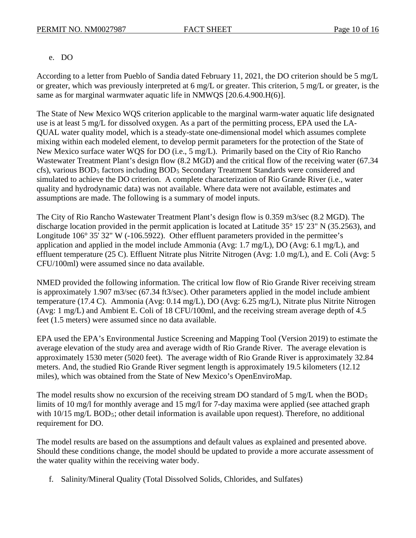# e. DO

According to a letter from Pueblo of Sandia dated February 11, 2021, the DO criterion should be 5 mg/L or greater, which was previously interpreted at 6 mg/L or greater. This criterion, 5 mg/L or greater, is the same as for marginal warmwater aquatic life in NMWQS [20.6.4.900.H(6)].

The State of New Mexico WQS criterion applicable to the marginal warm-water aquatic life designated use is at least 5 mg/L for dissolved oxygen. As a part of the permitting process, EPA used the LA-QUAL water quality model, which is a steady-state one-dimensional model which assumes complete mixing within each modeled element, to develop permit parameters for the protection of the State of New Mexico surface water WQS for DO (i.e., 5 mg/L). Primarily based on the City of Rio Rancho Wastewater Treatment Plant's design flow (8.2 MGD) and the critical flow of the receiving water (67.34 cfs), various BOD<sub>5</sub> factors including BOD<sub>5</sub> Secondary Treatment Standards were considered and simulated to achieve the DO criterion. A complete characterization of Rio Grande River (i.e., water quality and hydrodynamic data) was not available. Where data were not available, estimates and assumptions are made. The following is a summary of model inputs.

The City of Rio Rancho Wastewater Treatment Plant's design flow is 0.359 m3/sec (8.2 MGD). The discharge location provided in the permit application is located at Latitude 35° 15' 23" N (35.2563), and Longitude 106° 35′ 32″ W (-106.5922). Other effluent parameters provided in the permittee's application and applied in the model include Ammonia (Avg: 1.7 mg/L), DO (Avg: 6.1 mg/L), and effluent temperature (25 C). Effluent Nitrate plus Nitrite Nitrogen (Avg: 1.0 mg/L), and E. Coli (Avg: 5 CFU/100ml) were assumed since no data available.

NMED provided the following information. The critical low flow of Rio Grande River receiving stream is approximately 1.907 m3/sec (67.34 ft3/sec). Other parameters applied in the model include ambient temperature (17.4 C). Ammonia (Avg: 0.14 mg/L), DO (Avg: 6.25 mg/L), Nitrate plus Nitrite Nitrogen (Avg: 1 mg/L) and Ambient E. Coli of 18 CFU/100ml, and the receiving stream average depth of 4.5 feet (1.5 meters) were assumed since no data available.

EPA used the EPA's Environmental Justice Screening and Mapping Tool (Version 2019) to estimate the average elevation of the study area and average width of Rio Grande River. The average elevation is approximately 1530 meter (5020 feet). The average width of Rio Grande River is approximately 32.84 meters. And, the studied Rio Grande River segment length is approximately 19.5 kilometers (12.12 miles), which was obtained from the State of New Mexico's OpenEnviroMap.

The model results show no excursion of the receiving stream DO standard of 5 mg/L when the  $BOD_5$ limits of 10 mg/l for monthly average and 15 mg/l for 7-day maxima were applied (see attached graph with 10/15 mg/L BOD<sub>5</sub>; other detail information is available upon request). Therefore, no additional requirement for DO.

The model results are based on the assumptions and default values as explained and presented above. Should these conditions change, the model should be updated to provide a more accurate assessment of the water quality within the receiving water body.

f. Salinity/Mineral Quality (Total Dissolved Solids, Chlorides, and Sulfates)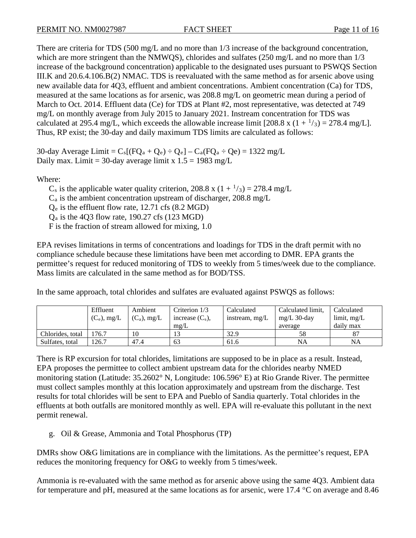There are criteria for TDS (500 mg/L and no more than 1/3 increase of the background concentration, which are more stringent than the NMWQS), chlorides and sulfates (250 mg/L and no more than  $1/3$ increase of the background concentration) applicable to the designated uses pursuant to PSWQS Section III.K and 20.6.4.106.B(2) NMAC. TDS is reevaluated with the same method as for arsenic above using new available data for 4Q3, effluent and ambient concentrations. Ambient concentration (Ca) for TDS, measured at the same locations as for arsenic, was 208.8 mg/L on geometric mean during a period of March to Oct. 2014. Effluent data (Ce) for TDS at Plant #2, most representative, was detected at 749 mg/L on monthly average from July 2015 to January 2021. Instream concentration for TDS was calculated at 295.4 mg/L, which exceeds the allowable increase limit  $[208.8 \times (1 + \frac{1}{3}) = 278.4 \text{ mg/L}]$ . Thus, RP exist; the 30-day and daily maximum TDS limits are calculated as follows:

30-day Average Limit =  $C_s[(FQ_a + Q_e) - Q_e] - C_a(FQ_a - Qe) = 1322$  mg/L Daily max. Limit = 30-day average limit x  $1.5 = 1983$  mg/L

Where:

 $C_s$  is the applicable water quality criterion, 208.8 x (1 +  $\frac{1}{3}$ ) = 278.4 mg/L  $C_a$  is the ambient concentration upstream of discharger, 208.8 mg/L  $Q_e$  is the effluent flow rate, 12.71 cfs (8.2 MGD)  $Q<sub>a</sub>$  is the 4Q3 flow rate, 190.27 cfs (123 MGD) F is the fraction of stream allowed for mixing, 1.0

EPA revises limitations in terms of concentrations and loadings for TDS in the draft permit with no compliance schedule because these limitations have been met according to DMR. EPA grants the permittee's request for reduced monitoring of TDS to weekly from 5 times/week due to the compliance. Mass limits are calculated in the same method as for BOD/TSS.

In the same approach, total chlorides and sulfates are evaluated against PSWQS as follows:

|                  | Effluent       | Ambient        | Criterion 1/3      | Calculated     | Calculated limit, | Calculated                 |
|------------------|----------------|----------------|--------------------|----------------|-------------------|----------------------------|
|                  | $(C_e)$ , mg/L | $(C_a)$ , mg/L | increase $(C_s)$ , | instream, mg/L | $mg/L$ 30-day     | $\lim$ <sub>i</sub> $mg/L$ |
|                  |                |                | mg/L               |                | average           | daily max                  |
| Chlorides, total | 76.7           | 10             | 13                 | 32.9           | 58                |                            |
| Sulfates, total  | 126.7          | 47.4           | 63                 | 61.6           | NA                | NA                         |

There is RP excursion for total chlorides, limitations are supposed to be in place as a result. Instead, EPA proposes the permittee to collect ambient upstream data for the chlorides nearby NMED monitoring station (Latitude: 35.2602° N, Longitude: 106.596° E) at Rio Grande River. The permittee must collect samples monthly at this location approximately and upstream from the discharge. Test results for total chlorides will be sent to EPA and Pueblo of Sandia quarterly. Total chlorides in the effluents at both outfalls are monitored monthly as well. EPA will re-evaluate this pollutant in the next permit renewal.

g. Oil & Grease, Ammonia and Total Phosphorus (TP)

DMRs show O&G limitations are in compliance with the limitations. As the permittee's request, EPA reduces the monitoring frequency for O&G to weekly from 5 times/week.

Ammonia is re-evaluated with the same method as for arsenic above using the same 4Q3. Ambient data for temperature and pH, measured at the same locations as for arsenic, were 17.4 °C on average and 8.46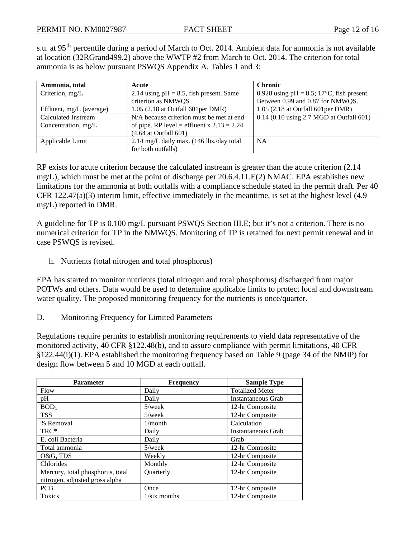s.u. at 95<sup>th</sup> percentile during a period of March to Oct. 2014. Ambient data for ammonia is not available at location (32RGrand499.2) above the WWTP #2 from March to Oct. 2014. The criterion for total ammonia is as below pursuant PSWQS Appendix A, Tables 1 and 3:

| Ammonia, total             | Acute                                        | <b>Chronic</b>                                            |
|----------------------------|----------------------------------------------|-----------------------------------------------------------|
| Criterion, $mg/L$          | 2.14 using $pH = 8.5$ , fish present. Same   | 0.928 using $pH = 8.5$ ; 17 <sup>o</sup> C, fish present. |
|                            | criterion as NMWQS                           | Between 0.99 and 0.87 for NMWQS.                          |
| Effluent, $mg/L$ (average) | $1.05$ (2.18 at Outfall 601 per DMR)         | $1.05$ (2.18 at Outfall 601 per DMR)                      |
| Calculated Instream        | N/A because criterion must be met at end     | $0.14$ (0.10 using 2.7 MGD at Outfall 601)                |
| Concentration, mg/L        | of pipe. RP level = effluent x $2.13 = 2.24$ |                                                           |
|                            | $(4.64$ at Outfall $601)$                    |                                                           |
| Applicable Limit           | 2.14 mg/L daily max. (146 lbs./day total     | <b>NA</b>                                                 |
|                            | for both outfalls)                           |                                                           |

RP exists for acute criterion because the calculated instream is greater than the acute criterion (2.14 mg/L), which must be met at the point of discharge per 20.6.4.11.E(2) NMAC. EPA establishes new limitations for the ammonia at both outfalls with a compliance schedule stated in the permit draft. Per 40 CFR 122.47(a)(3) interim limit, effective immediately in the meantime, is set at the highest level (4.9 mg/L) reported in DMR.

A guideline for TP is 0.100 mg/L pursuant PSWQS Section III.E; but it's not a criterion. There is no numerical criterion for TP in the NMWQS. Monitoring of TP is retained for next permit renewal and in case PSWQS is revised.

h. Nutrients (total nitrogen and total phosphorus)

EPA has started to monitor nutrients (total nitrogen and total phosphorus) discharged from major POTWs and others. Data would be used to determine applicable limits to protect local and downstream water quality. The proposed monitoring frequency for the nutrients is once/quarter.

D. Monitoring Frequency for Limited Parameters

Regulations require permits to establish monitoring requirements to yield data representative of the monitored activity, 40 CFR §122.48(b), and to assure compliance with permit limitations, 40 CFR §122.44(i)(1). EPA established the monitoring frequency based on Table 9 (page 34 of the NMIP) for design flow between 5 and 10 MGD at each outfall.

| <b>Parameter</b>                 | <b>Frequency</b>       | <b>Sample Type</b>     |  |
|----------------------------------|------------------------|------------------------|--|
| Flow                             | Daily                  | <b>Totalized Meter</b> |  |
| pH                               | Daily                  | Instantaneous Grab     |  |
| BOD <sub>5</sub>                 | $5$ /week              | 12-hr Composite        |  |
| <b>TSS</b>                       | $5$ /week              | 12-hr Composite        |  |
| % Removal                        | $1/m$ onth             | Calculation            |  |
| TRC*                             | Daily                  | Instantaneous Grab     |  |
| E. coli Bacteria                 | Daily                  | Grab                   |  |
| Total ammonia                    | $5$ /week              | 12-hr Composite        |  |
| O&G, TDS                         | Weekly                 | 12-hr Composite        |  |
| Chlorides                        | Monthly                | 12-hr Composite        |  |
| Mercury, total phosphorus, total | Quarterly              | 12-hr Composite        |  |
| nitrogen, adjusted gross alpha   |                        |                        |  |
| <b>PCB</b>                       | Once                   | 12-hr Composite        |  |
| <b>Toxics</b>                    | $1/\text{s}$ ix months | 12-hr Composite        |  |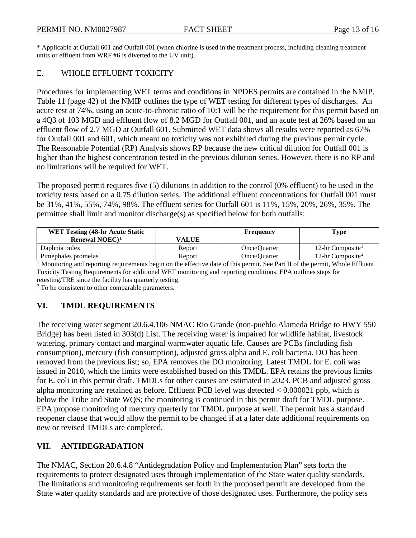\* Applicable at Outfall 601 and Outfall 001 (when chlorine is used in the treatment process, including cleaning treatment units or effluent from WRF #6 is diverted to the UV unit).

# E. WHOLE EFFLUENT TOXICITY

Procedures for implementing WET terms and conditions in NPDES permits are contained in the NMIP. Table 11 (page 42) of the NMIP outlines the type of WET testing for different types of discharges. An acute test at 74%, using an acute-to-chronic ratio of 10:1 will be the requirement for this permit based on a 4Q3 of 103 MGD and effluent flow of 8.2 MGD for Outfall 001, and an acute test at 26% based on an effluent flow of 2.7 MGD at Outfall 601. Submitted WET data shows all results were reported as 67% for Outfall 001 and 601, which meant no toxicity was not exhibited during the previous permit cycle. The Reasonable Potential (RP) Analysis shows RP because the new critical dilution for Outfall 001 is higher than the highest concentration tested in the previous dilution series. However, there is no RP and no limitations will be required for WET.

The proposed permit requires five (5) dilutions in addition to the control (0% effluent) to be used in the toxicity tests based on a 0.75 dilution series. The additional effluent concentrations for Outfall 001 must be 31%, 41%, 55%, 74%, 98%. The effluent series for Outfall 601 is 11%, 15%, 20%, 26%, 35%. The permittee shall limit and monitor discharge(s) as specified below for both outfalls:

| <b>WET Testing (48-hr Acute Static)</b> |        | Frequency    | <b>Type</b>                  |
|-----------------------------------------|--------|--------------|------------------------------|
| Renewal NOEC $)^1$                      | VALUE  |              |                              |
| Daphnia pulex                           | Report | Once/Ouarter | 12-hr Composite <sup>2</sup> |
| Pimephales promelas                     | Report | Once/Ouarter | 12-hr Composite <sup>2</sup> |

<sup>1</sup> Monitoring and reporting requirements begin on the effective date of this permit. See Part II of the permit, Whole Effluent Toxicity Testing Requirements for additional WET monitoring and reporting conditions. EPA outlines steps for retesting/TRE since the facility has quarterly testing.

<sup>2</sup> To be consistent to other comparable parameters.

# **VI. TMDL REQUIREMENTS**

The receiving water segment 20.6.4.106 NMAC Rio Grande (non-pueblo Alameda Bridge to HWY 550 Bridge) has been listed in 303(d) List. The receiving water is impaired for wildlife habitat, livestock watering, primary contact and marginal warmwater aquatic life. Causes are PCBs (including fish consumption), mercury (fish consumption), adjusted gross alpha and E. coli bacteria. DO has been removed from the previous list; so, EPA removes the DO monitoring. Latest TMDL for E. coli was issued in 2010, which the limits were established based on this TMDL. EPA retains the previous limits for E. coli in this permit draft. TMDLs for other causes are estimated in 2023. PCB and adjusted gross alpha monitoring are retained as before. Effluent PCB level was detected < 0.000021 ppb, which is below the Tribe and State WQS; the monitoring is continued in this permit draft for TMDL purpose. EPA propose monitoring of mercury quarterly for TMDL purpose at well. The permit has a standard reopener clause that would allow the permit to be changed if at a later date additional requirements on new or revised TMDLs are completed.

# **VII. ANTIDEGRADATION**

The NMAC, Section 20.6.4.8 "Antidegradation Policy and Implementation Plan" sets forth the requirements to protect designated uses through implementation of the State water quality standards. The limitations and monitoring requirements set forth in the proposed permit are developed from the State water quality standards and are protective of those designated uses. Furthermore, the policy sets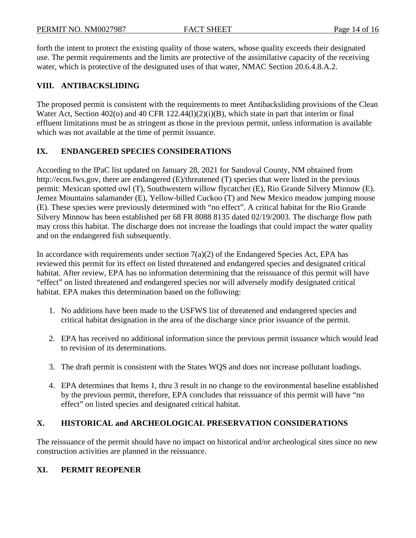forth the intent to protect the existing quality of those waters, whose quality exceeds their designated use. The permit requirements and the limits are protective of the assimilative capacity of the receiving water, which is protective of the designated uses of that water, NMAC Section 20.6.4.8.A.2.

# **VIII. ANTIBACKSLIDING**

The proposed permit is consistent with the requirements to meet Antibacksliding provisions of the Clean Water Act, Section 402(o) and 40 CFR 122.44(1)(2)(i)(B), which state in part that interim or final effluent limitations must be as stringent as those in the previous permit, unless information is available which was not available at the time of permit issuance.

# **IX. ENDANGERED SPECIES CONSIDERATIONS**

According to the IPaC list updated on January 28, 2021 for Sandoval County, NM obtained from http://ecos.fws.gov, there are endangered (E)/threatened (T) species that were listed in the previous permit: Mexican spotted owl (T), Southwestern willow flycatcher (E), Rio Grande Silvery Minnow (E). Jemez Mountains salamander (E), Yellow-billed Cuckoo (T) and New Mexico meadow jumping mouse (E). These species were previously determined with "no effect". A critical habitat for the Rio Grande Silvery Minnow has been established per 68 FR 8088 8135 dated 02/19/2003. The discharge flow path may cross this habitat. The discharge does not increase the loadings that could impact the water quality and on the endangered fish subsequently.

In accordance with requirements under section  $7(a)(2)$  of the Endangered Species Act, EPA has reviewed this permit for its effect on listed threatened and endangered species and designated critical habitat. After review, EPA has no information determining that the reissuance of this permit will have "effect" on listed threatened and endangered species nor will adversely modify designated critical habitat. EPA makes this determination based on the following:

- 1. No additions have been made to the USFWS list of threatened and endangered species and critical habitat designation in the area of the discharge since prior issuance of the permit.
- 2. EPA has received no additional information since the previous permit issuance which would lead to revision of its determinations.
- 3. The draft permit is consistent with the States WQS and does not increase pollutant loadings.
- 4. EPA determines that Items 1, thru 3 result in no change to the environmental baseline established by the previous permit, therefore, EPA concludes that reissuance of this permit will have "no effect" on listed species and designated critical habitat.

# **X. HISTORICAL and ARCHEOLOGICAL PRESERVATION CONSIDERATIONS**

The reissuance of the permit should have no impact on historical and/or archeological sites since no new construction activities are planned in the reissuance.

# **XI. PERMIT REOPENER**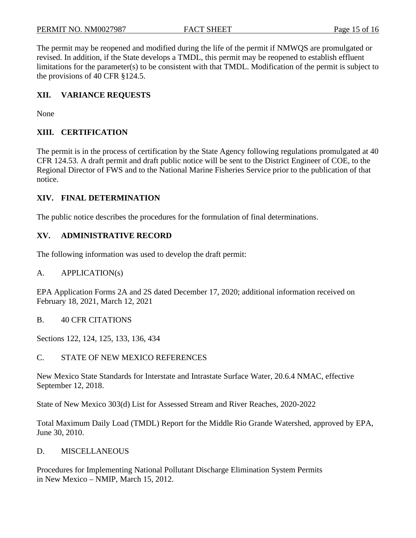The permit may be reopened and modified during the life of the permit if NMWQS are promulgated or revised. In addition, if the State develops a TMDL, this permit may be reopened to establish effluent limitations for the parameter(s) to be consistent with that TMDL. Modification of the permit is subject to the provisions of 40 CFR §124.5.

# **XII. VARIANCE REQUESTS**

None

# **XIII. CERTIFICATION**

The permit is in the process of certification by the State Agency following regulations promulgated at 40 CFR 124.53. A draft permit and draft public notice will be sent to the District Engineer of COE, to the Regional Director of FWS and to the National Marine Fisheries Service prior to the publication of that notice.

# **XIV. FINAL DETERMINATION**

The public notice describes the procedures for the formulation of final determinations.

# **XV. ADMINISTRATIVE RECORD**

The following information was used to develop the draft permit:

#### A. APPLICATION(s)

EPA Application Forms 2A and 2S dated December 17, 2020; additional information received on February 18, 2021, March 12, 2021

B. 40 CFR CITATIONS

Sections 122, 124, 125, 133, 136, 434

C. STATE OF NEW MEXICO REFERENCES

New Mexico State Standards for Interstate and Intrastate Surface Water, 20.6.4 NMAC, effective September 12, 2018.

State of New Mexico 303(d) List for Assessed Stream and River Reaches, 2020-2022

Total Maximum Daily Load (TMDL) Report for the Middle Rio Grande Watershed, approved by EPA, June 30, 2010.

D. MISCELLANEOUS

Procedures for Implementing National Pollutant Discharge Elimination System Permits in New Mexico – NMIP, March 15, 2012.